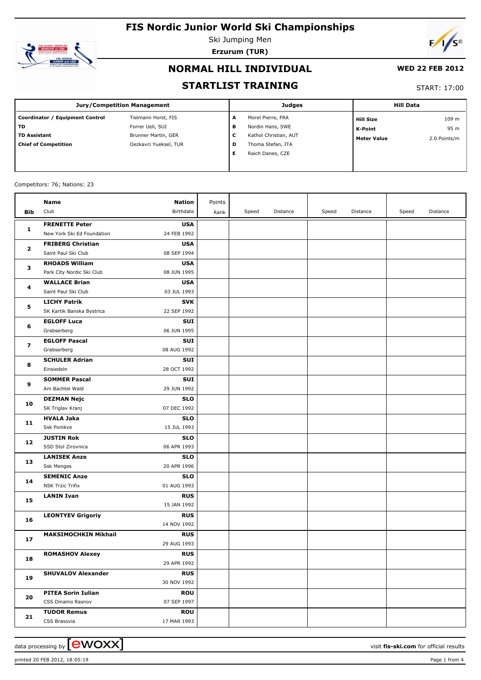

Ski Jumping Men **Erzurum (TUR)**



### **NORMAL HILL INDIVIDUAL**

#### **WED 22 FEB 2012**

### **STARTLIST TRAINING**

#### START: 17:00

| <b>Jury/Competition Management</b> |                       |   | <b>Judges</b>         | <b>Hill Data</b>   |              |  |
|------------------------------------|-----------------------|---|-----------------------|--------------------|--------------|--|
| Coordinator / Equipment Control    | Tielmann Horst, FIS   | А | Morel Pierre, FRA     | <b>Hill Size</b>   | 109 m        |  |
| <b>TD</b>                          | Forrer Ueli, SUI      | в | Nordin Hans, SWE      | K-Point            | 95 m         |  |
| <b>TD Assistant</b>                | Brunner Martin, GER   | c | Kathol Christian, AUT | <b>Meter Value</b> | 2.0 Points/m |  |
| <b>Chief of Competition</b>        | Oezkavci Yueksel, TUR | D | Thoma Stefan, ITA     |                    |              |  |
|                                    |                       | Е | Raich Danes, CZE      |                    |              |  |
|                                    |                       |   |                       |                    |              |  |

#### Competitors: 76; Nations: 23

|              | Name                        | <b>Nation</b>             | Points |       |          |       |          |       |          |
|--------------|-----------------------------|---------------------------|--------|-------|----------|-------|----------|-------|----------|
| Bib          | Club                        | Birthdate                 | Rank   | Speed | Distance | Speed | Distance | Speed | Distance |
|              | <b>FRENETTE Peter</b>       | <b>USA</b>                |        |       |          |       |          |       |          |
| $\mathbf{1}$ | New York Ski Ed Foundation  | 24 FEB 1992               |        |       |          |       |          |       |          |
|              | <b>FRIBERG Christian</b>    | <b>USA</b>                |        |       |          |       |          |       |          |
| 2            | Saint Paul Ski Club         | 08 SEP 1994               |        |       |          |       |          |       |          |
| з            | <b>RHOADS William</b>       | <b>USA</b>                |        |       |          |       |          |       |          |
|              | Park City Nordic Ski Club   | 08 JUN 1995               |        |       |          |       |          |       |          |
|              | <b>WALLACE Brian</b>        | <b>USA</b>                |        |       |          |       |          |       |          |
| 4            | Saint Paul Ski Club         | 03 JUL 1993               |        |       |          |       |          |       |          |
|              | <b>LICHY Patrik</b>         | <b>SVK</b>                |        |       |          |       |          |       |          |
| 5            | SK Kartik Banska Bystrica   | 22 SEP 1992               |        |       |          |       |          |       |          |
|              | <b>EGLOFF Luca</b>          | SUI                       |        |       |          |       |          |       |          |
| 6            | Grabserberg                 | 06 JUN 1995               |        |       |          |       |          |       |          |
| 7            | <b>EGLOFF Pascal</b>        | SUI                       |        |       |          |       |          |       |          |
|              | Grabserberg                 | 08 AUG 1992               |        |       |          |       |          |       |          |
| 8            | <b>SCHULER Adrian</b>       | SUI                       |        |       |          |       |          |       |          |
|              | Einsiedeln                  | 28 OCT 1992               |        |       |          |       |          |       |          |
| 9            | <b>SOMMER Pascal</b>        | SUI                       |        |       |          |       |          |       |          |
|              | Am Bachtel Wald             | 29 JUN 1992               |        |       |          |       |          |       |          |
| 10           | <b>DEZMAN Nejc</b>          | <b>SLO</b>                |        |       |          |       |          |       |          |
|              | SK Triglav Kranj            | 07 DEC 1992               |        |       |          |       |          |       |          |
| 11           | <b>HVALA Jaka</b>           | <b>SLO</b>                |        |       |          |       |          |       |          |
|              | Ssk Ponikve                 | 15 JUL 1993               |        |       |          |       |          |       |          |
| 12           | <b>JUSTIN Rok</b>           | <b>SLO</b>                |        |       |          |       |          |       |          |
|              | SSD Stol Zirovnica          | 06 APR 1993               |        |       |          |       |          |       |          |
| 13           | <b>LANISEK Anze</b>         | <b>SLO</b>                |        |       |          |       |          |       |          |
|              | <b>Ssk Menges</b>           | 20 APR 1996               |        |       |          |       |          |       |          |
| 14           | <b>SEMENIC Anze</b>         | <b>SLO</b>                |        |       |          |       |          |       |          |
|              | <b>NSK Trzic Trifix</b>     | 01 AUG 1993               |        |       |          |       |          |       |          |
| 15           | <b>LANIN Ivan</b>           | <b>RUS</b><br>15 JAN 1992 |        |       |          |       |          |       |          |
|              | <b>LEONTYEV Grigoriy</b>    | <b>RUS</b>                |        |       |          |       |          |       |          |
| 16           |                             | 14 NOV 1992               |        |       |          |       |          |       |          |
|              | <b>MAKSIMOCHKIN Mikhail</b> | <b>RUS</b>                |        |       |          |       |          |       |          |
| 17           |                             | 29 AUG 1993               |        |       |          |       |          |       |          |
|              | <b>ROMASHOV Alexey</b>      | <b>RUS</b>                |        |       |          |       |          |       |          |
| 18           |                             | 29 APR 1992               |        |       |          |       |          |       |          |
|              | <b>SHUVALOV Alexander</b>   | <b>RUS</b>                |        |       |          |       |          |       |          |
| 19           |                             | 30 NOV 1992               |        |       |          |       |          |       |          |
|              | <b>PITEA Sorin Iulian</b>   | <b>ROU</b>                |        |       |          |       |          |       |          |
| 20           | CSS Dinamo Rasnov           | 07 SEP 1997               |        |       |          |       |          |       |          |
|              | <b>TUDOR Remus</b>          | <b>ROU</b>                |        |       |          |       |          |       |          |
| 21           | CSS Brasovia                | 17 MAR 1993               |        |       |          |       |          |       |          |

printed 20 FEB 2012, 18:05:19 Page 1 from 4

data processing by  $\boxed{\text{ewOX}}$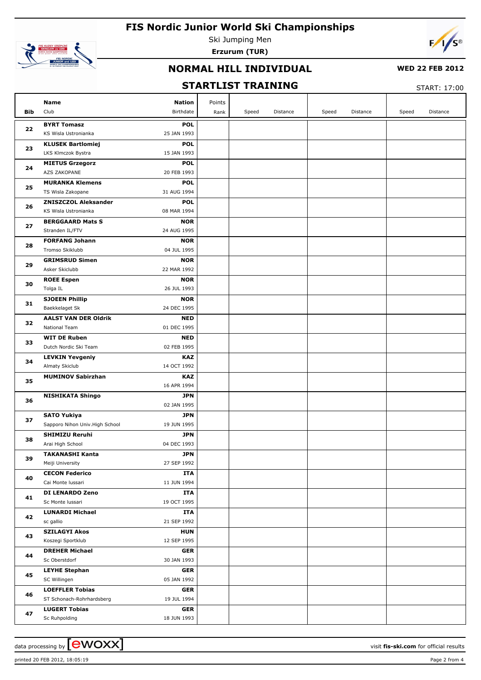

Ski Jumping Men **Erzurum (TUR)**



### **NORMAL HILL INDIVIDUAL**

### **WED 22 FEB 2012**

## **STARTLIST TRAINING**

START: 17:00

|            | Name<br><b>Nation</b>                                                  | Points |       |          |       |          |       |          |
|------------|------------------------------------------------------------------------|--------|-------|----------|-------|----------|-------|----------|
| <b>Bib</b> | Club<br>Birthdate                                                      | Rank   | Speed | Distance | Speed | Distance | Speed | Distance |
|            | <b>BYRT Tomasz</b><br><b>POL</b>                                       |        |       |          |       |          |       |          |
| 22         | KS Wisla Ustronianka<br>25 JAN 1993                                    |        |       |          |       |          |       |          |
| 23         | <b>KLUSEK Bartlomiej</b><br><b>POL</b>                                 |        |       |          |       |          |       |          |
|            | 15 JAN 1993<br>LKS Klmczok Bystra                                      |        |       |          |       |          |       |          |
| 24         | <b>POL</b><br><b>MIETUS Grzegorz</b>                                   |        |       |          |       |          |       |          |
|            | <b>AZS ZAKOPANE</b><br>20 FEB 1993                                     |        |       |          |       |          |       |          |
| 25         | <b>MURANKA Klemens</b><br><b>POL</b>                                   |        |       |          |       |          |       |          |
|            | 31 AUG 1994<br>TS Wisla Zakopane                                       |        |       |          |       |          |       |          |
| 26         | <b>ZNISZCZOL Aleksander</b><br><b>POL</b>                              |        |       |          |       |          |       |          |
|            | 08 MAR 1994<br>KS Wisla Ustronianka                                    |        |       |          |       |          |       |          |
| 27         | <b>BERGGAARD Mats S</b><br><b>NOR</b>                                  |        |       |          |       |          |       |          |
|            | Stranden IL/FTV<br>24 AUG 1995                                         |        |       |          |       |          |       |          |
| 28         | <b>FORFANG Johann</b><br><b>NOR</b>                                    |        |       |          |       |          |       |          |
|            | Tromso Skiklubb<br>04 JUL 1995                                         |        |       |          |       |          |       |          |
| 29         | <b>GRIMSRUD Simen</b><br><b>NOR</b><br>Asker Skiclubb                  |        |       |          |       |          |       |          |
|            | 22 MAR 1992                                                            |        |       |          |       |          |       |          |
| 30         | <b>ROEE Espen</b><br><b>NOR</b><br>26 JUL 1993<br>Tolga IL             |        |       |          |       |          |       |          |
|            | <b>SJOEEN Phillip</b><br><b>NOR</b>                                    |        |       |          |       |          |       |          |
| 31         | 24 DEC 1995<br>Baekkelaget Sk                                          |        |       |          |       |          |       |          |
|            | <b>AALST VAN DER Oldrik</b><br><b>NED</b>                              |        |       |          |       |          |       |          |
| 32         | 01 DEC 1995<br>National Team                                           |        |       |          |       |          |       |          |
|            | <b>WIT DE Ruben</b><br><b>NED</b>                                      |        |       |          |       |          |       |          |
| 33         | 02 FEB 1995<br>Dutch Nordic Ski Team                                   |        |       |          |       |          |       |          |
| 34         | <b>KAZ</b><br><b>LEVKIN Yevgeniy</b>                                   |        |       |          |       |          |       |          |
|            | Almaty Skiclub<br>14 OCT 1992                                          |        |       |          |       |          |       |          |
|            | <b>MUMINOV Sabirzhan</b><br><b>KAZ</b>                                 |        |       |          |       |          |       |          |
| 35         | 16 APR 1994                                                            |        |       |          |       |          |       |          |
|            | <b>NISHIKATA Shingo</b><br><b>JPN</b>                                  |        |       |          |       |          |       |          |
| 36         | 02 JAN 1995                                                            |        |       |          |       |          |       |          |
| 37         | <b>SATO Yukiya</b><br><b>JPN</b>                                       |        |       |          |       |          |       |          |
|            | Sapporo Nihon Univ. High School<br>19 JUN 1995                         |        |       |          |       |          |       |          |
| 38         | <b>SHIMIZU Reruhi</b><br><b>JPN</b>                                    |        |       |          |       |          |       |          |
|            | 04 DEC 1993<br>Arai High School                                        |        |       |          |       |          |       |          |
| 39         | <b>JPN</b><br><b>TAKANASHI Kanta</b>                                   |        |       |          |       |          |       |          |
|            | Meiji University<br>27 SEP 1992                                        |        |       |          |       |          |       |          |
| 40         | <b>CECON Federico</b><br>ITA                                           |        |       |          |       |          |       |          |
|            | 11 JUN 1994<br>Cai Monte Iussari                                       |        |       |          |       |          |       |          |
| 41         | <b>DI LENARDO Zeno</b><br>ITA                                          |        |       |          |       |          |       |          |
|            | 19 OCT 1995<br>Sc Monte Iussari                                        |        |       |          |       |          |       |          |
| 42         | <b>LUNARDI Michael</b><br>ITA<br>21 SEP 1992                           |        |       |          |       |          |       |          |
|            | sc gallio                                                              |        |       |          |       |          |       |          |
| 43         | <b>SZILAGYI Akos</b><br><b>HUN</b><br>Koszegi Sportklub<br>12 SEP 1995 |        |       |          |       |          |       |          |
|            | <b>DREHER Michael</b><br><b>GER</b>                                    |        |       |          |       |          |       |          |
| 44         | Sc Oberstdorf<br>30 JAN 1993                                           |        |       |          |       |          |       |          |
|            | <b>LEYHE Stephan</b><br>GER                                            |        |       |          |       |          |       |          |
| 45         | SC Willingen<br>05 JAN 1992                                            |        |       |          |       |          |       |          |
|            | <b>LOEFFLER Tobias</b><br><b>GER</b>                                   |        |       |          |       |          |       |          |
| 46         | ST Schonach-Rohrhardsberg<br>19 JUL 1994                               |        |       |          |       |          |       |          |
|            | <b>LUGERT Tobias</b><br>GER                                            |        |       |          |       |          |       |          |
| 47         | 18 JUN 1993<br>Sc Ruhpolding                                           |        |       |          |       |          |       |          |

data processing by **COVOXX** and the set of the set of the visit **fis-ski.com** for official results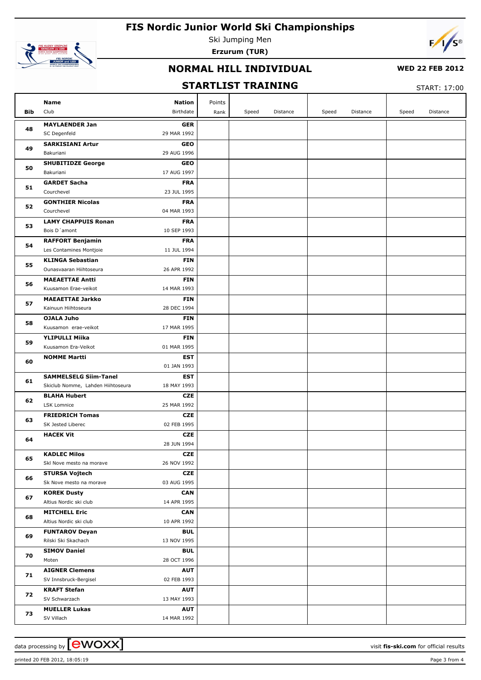

Ski Jumping Men **Erzurum (TUR)**



### **NORMAL HILL INDIVIDUAL**

### **WED 22 FEB 2012**

## **STARTLIST TRAINING**

START: 17:00

| <b>Bib</b> | Name<br>Nation<br>Club<br>Birthdate                                       | Points<br>Rank | Speed | Distance | Speed | Distance | Speed | Distance |
|------------|---------------------------------------------------------------------------|----------------|-------|----------|-------|----------|-------|----------|
|            |                                                                           |                |       |          |       |          |       |          |
| 48         | <b>MAYLAENDER Jan</b><br><b>GER</b><br>SC Degenfeld<br>29 MAR 1992        |                |       |          |       |          |       |          |
|            | <b>GEO</b>                                                                |                |       |          |       |          |       |          |
| 49         | <b>SARKISIANI Artur</b><br>Bakuriani<br>29 AUG 1996                       |                |       |          |       |          |       |          |
|            | <b>SHUBITIDZE George</b><br><b>GEO</b>                                    |                |       |          |       |          |       |          |
| 50         | 17 AUG 1997<br>Bakuriani                                                  |                |       |          |       |          |       |          |
|            | <b>GARDET Sacha</b><br><b>FRA</b>                                         |                |       |          |       |          |       |          |
| 51         | Courchevel<br>23 JUL 1995                                                 |                |       |          |       |          |       |          |
| 52         | <b>GONTHIER Nicolas</b><br><b>FRA</b>                                     |                |       |          |       |          |       |          |
|            | Courchevel<br>04 MAR 1993                                                 |                |       |          |       |          |       |          |
|            | <b>LAMY CHAPPUIS Ronan</b><br><b>FRA</b>                                  |                |       |          |       |          |       |          |
| 53         | Bois D'amont<br>10 SEP 1993                                               |                |       |          |       |          |       |          |
|            | <b>RAFFORT Benjamin</b><br><b>FRA</b>                                     |                |       |          |       |          |       |          |
| 54         | 11 JUL 1994<br>Les Contamines Montjoie                                    |                |       |          |       |          |       |          |
|            | <b>KLINGA Sebastian</b><br><b>FIN</b>                                     |                |       |          |       |          |       |          |
| 55         | Ounasvaaran Hiihtoseura<br>26 APR 1992                                    |                |       |          |       |          |       |          |
|            | <b>MAEAETTAE Antti</b><br><b>FIN</b>                                      |                |       |          |       |          |       |          |
| 56         | Kuusamon Erae-veikot<br>14 MAR 1993                                       |                |       |          |       |          |       |          |
|            | <b>MAEAETTAE Jarkko</b><br><b>FIN</b>                                     |                |       |          |       |          |       |          |
| 57         | Kainuun Hiihtoseura<br>28 DEC 1994                                        |                |       |          |       |          |       |          |
|            | OJALA Juho<br><b>FIN</b>                                                  |                |       |          |       |          |       |          |
| 58         | Kuusamon erae-veikot<br>17 MAR 1995                                       |                |       |          |       |          |       |          |
|            | <b>YLIPULLI Miika</b><br><b>FIN</b>                                       |                |       |          |       |          |       |          |
| 59         | Kuusamon Era-Veikot<br>01 MAR 1995                                        |                |       |          |       |          |       |          |
| 60         | <b>NOMME Martti</b><br>EST                                                |                |       |          |       |          |       |          |
|            | 01 JAN 1993                                                               |                |       |          |       |          |       |          |
|            | <b>SAMMELSELG Siim-Tanel</b><br>EST                                       |                |       |          |       |          |       |          |
| 61         | Skiclub Nomme, Lahden Hiihtoseura<br>18 MAY 1993                          |                |       |          |       |          |       |          |
| 62         | <b>BLAHA Hubert</b><br><b>CZE</b>                                         |                |       |          |       |          |       |          |
|            | <b>LSK Lomnice</b><br>25 MAR 1992                                         |                |       |          |       |          |       |          |
| 63         | <b>FRIEDRICH Tomas</b><br><b>CZE</b>                                      |                |       |          |       |          |       |          |
|            | SK Jested Liberec<br>02 FEB 1995                                          |                |       |          |       |          |       |          |
| 64         | <b>HACEK Vit</b><br><b>CZE</b>                                            |                |       |          |       |          |       |          |
|            | 28 JUN 1994                                                               |                |       |          |       |          |       |          |
| 65         | <b>KADLEC Milos</b><br><b>CZE</b>                                         |                |       |          |       |          |       |          |
|            | Skl Nove mesto na morave<br>26 NOV 1992                                   |                |       |          |       |          |       |          |
| 66         | <b>STURSA Vojtech</b><br><b>CZE</b>                                       |                |       |          |       |          |       |          |
|            | 03 AUG 1995<br>Sk Nove mesto na morave                                    |                |       |          |       |          |       |          |
| 67         | <b>KOREK Dusty</b><br><b>CAN</b>                                          |                |       |          |       |          |       |          |
|            | 14 APR 1995<br>Altius Nordic ski club                                     |                |       |          |       |          |       |          |
| 68         | <b>MITCHELL Eric</b><br><b>CAN</b>                                        |                |       |          |       |          |       |          |
|            | 10 APR 1992<br>Altius Nordic ski club                                     |                |       |          |       |          |       |          |
| 69         | <b>BUL</b><br><b>FUNTAROV Deyan</b><br>13 NOV 1995<br>Rilski Ski Skachach |                |       |          |       |          |       |          |
|            |                                                                           |                |       |          |       |          |       |          |
| 70         | <b>SIMOV Daniel</b><br><b>BUL</b><br>28 OCT 1996<br>Moten                 |                |       |          |       |          |       |          |
|            | <b>AIGNER Clemens</b><br><b>AUT</b>                                       |                |       |          |       |          |       |          |
| 71         | 02 FEB 1993<br>SV Innsbruck-Bergisel                                      |                |       |          |       |          |       |          |
|            | <b>KRAFT Stefan</b><br><b>AUT</b>                                         |                |       |          |       |          |       |          |
| 72         | SV Schwarzach<br>13 MAY 1993                                              |                |       |          |       |          |       |          |
|            | <b>MUELLER Lukas</b><br><b>AUT</b>                                        |                |       |          |       |          |       |          |
| 73         | SV Villach<br>14 MAR 1992                                                 |                |       |          |       |          |       |          |